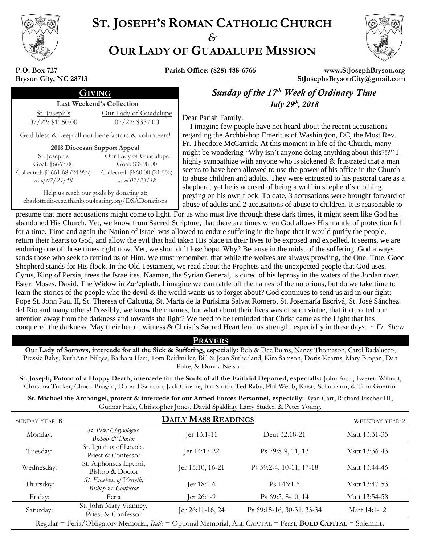

# **ST. JOSEPH'S ROMAN CATHOLIC CHURCH** *&* **OUR LADY OF GUADALUPE MISSION**



**P.O. Box 727 Bryson City, NC 28713**

**Parish Office: (828) 488-6766 www.StJosephBryson.org StJosephsBrysonCity@gmail.com**

#### Last Weekend's Collection

St. Joseph's 07/22: \$1150.00 Our Lady of Guadalupe  $\frac{12a(y)}{07/22}$ : \$337.00 **Dear Parish Family,** 

God bless & keep all our benefactors & volunteers!

**2018 Diocesan Support Appeal**

| <u>Our Lady of Guadalupe</u> |
|------------------------------|
| Goal: \$3998.00              |
| Collected: \$860.00 (21.5%)  |
| as of 07/23/18               |
|                              |

Help us reach our goals by donating at: charlottediocese.thankyou4caring.org/DSADonations

**GIVING Sunday of the 17<sup>th</sup> Week of Ordinary Time** *th , 2018*

 I imagine few people have not heard about the recent accusations regarding the Archbishop Emeritus of Washington, DC, the Most Rev. Fr. Theodore McCarrick. At this moment in life of the Church, many might be wondering "Why isn't anyone doing anything about this?!?" I highly sympathize with anyone who is sickened & frustrated that a man seems to have been allowed to use the power of his office in the Church to abuse children and adults. They were entrusted to his pastoral care as a shepherd, yet he is accused of being a wolf in shepherd's clothing, preying on his own flock. To date, 3 accusations were brought forward of abuse of adults and 2 accusations of abuse to children. It is reasonable to

presume that more accusations might come to light. For us who must live through these dark times, it might seem like God has abandoned His Church. Yet, we know from Sacred Scripture, that there are times when God allows His mantle of protection fall for a time. Time and again the Nation of Israel was allowed to endure suffering in the hope that it would purify the people, return their hearts to God, and allow the evil that had taken His place in their lives to be exposed and expelled. It seems, we are enduring one of those times right now. Yet, we shouldn't lose hope. Why? Because in the midst of the suffering, God always sends those who seek to remind us of Him. We must remember, that while the wolves are always prowling, the One, True, Good Shepherd stands for His flock. In the Old Testament, we read about the Prophets and the unexpected people that God uses. Cyrus, King of Persia, frees the Israelites. Naaman, the Syrian General, is cured of his leprosy in the waters of the Jordan river. Ester. Moses. David. The Widow in Zar′ephath. I imagine we can rattle off the names of the notorious, but do we take time to learn the stories of the people who the devil & the world wants us to forget about? God continues to send us aid in our fight: Pope St. John Paul II, St. Theresa of Calcutta, St. María de la Purísima Salvat Romero, St. Josemaría Escrivá, St. José Sánchez del Río and many others! Possibly, we know their names, but what about their lives was of such virtue, that it attracted our attention away from the darkness and towards the light? We need to be reminded that Christ came as the Light that has conquered the darkness. May their heroic witness & Christ's Sacred Heart lend us strength, especially in these days. ~ *Fr. Shaw*

## **PRAYERS**

**Our Lady of Sorrows, intercede for all the Sick & Suffering, especially:** Bob & Dee Burns, Nancy Thomason, Carol Badalucco, Pressie Raby, RuthAnn Nilges, Barbara Hart, Tom Reidmiller, Bill & Joan Sutherland, Kim Samson, Doris Kearns, Mary Brogan, Dan Pulte, & Donna Nelson.

**St. Joseph, Patron of a Happy Death, intercede for the Souls of all the Faithful Departed, especially:** John Arch, Everett Wilmot, Christina Tucker, Chuck Brogan, Donald Samson, Jack Canane, Jim Smith, Ted Raby, Phil Webb, Kristy Schumann, & Tom Guertin.

**St. Michael the Archangel, protect & intercede for our Armed Forces Personnel, especially:** Ryan Carr, Richard Fischer III, Gunnar Hale, Christopher Jones, David Spalding, Larry Studer, & Peter Young.

| <b>SUNDAY YEAR: B</b>                                                                                                        | <b>DAILY MASS READINGS</b>                      |                  |                           | <b>WEEKDAY YEAR: 2</b> |
|------------------------------------------------------------------------------------------------------------------------------|-------------------------------------------------|------------------|---------------------------|------------------------|
| Monday:                                                                                                                      | St. Peter Chrysologus,<br>Bishop & Doctor       | Jer 13:1-11      | Deut 32:18-21             | Matt 13:31-35          |
| Tuesday:                                                                                                                     | St. Ignatius of Loyola,<br>Priest & Confessor   | Jer 14:17-22     | Ps 79:8-9, 11, 13         | Matt 13:36-43          |
| Wednesday:                                                                                                                   | St. Alphonsus Liguori,<br>Bishop & Doctor       | Jer 15:10, 16-21 | Ps 59:2-4, 10-11, 17-18   | Matt 13:44-46          |
| Thursday:                                                                                                                    | St. Eusebius of Vercelli,<br>Bishop & Confessor | Jer 18:1-6       | $Ps$ 146:1-6              | Matt 13:47-53          |
| Friday:                                                                                                                      | Feria                                           | ler 26:1-9       | Ps 69:5, 8-10, 14         | Matt 13:54-58          |
| Saturday:                                                                                                                    | St. John Mary Vianney,<br>Priest & Confessor    | Jer 26:11-16, 24 | Ps 69:15-16, 30-31, 33-34 | Matt 14:1-12           |
| Regular = Feria/Obligatory Memorial, <i>Italic</i> = Optional Memorial, ALL CAPITAL = Feast, <b>BOLD CAPITAL</b> = Solemnity |                                                 |                  |                           |                        |